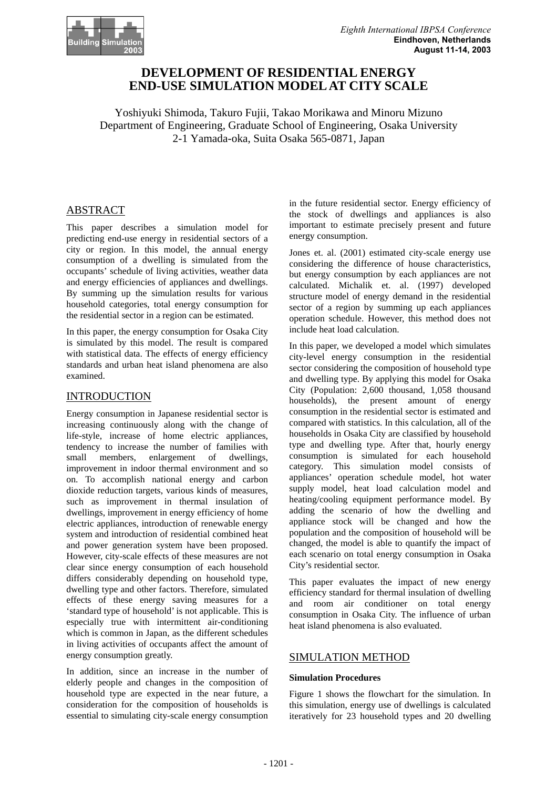

# **DEVELOPMENT OF RESIDENTIAL ENERGY END-USE SIMULATION MODEL AT CITY SCALE**

Yoshiyuki Shimoda, Takuro Fujii, Takao Morikawa and Minoru Mizuno Department of Engineering, Graduate School of Engineering, Osaka University 2-1 Yamada-oka, Suita Osaka 565-0871, Japan

## ABSTRACT

This paper describes a simulation model for predicting end-use energy in residential sectors of a city or region. In this model, the annual energy consumption of a dwelling is simulated from the occupants' schedule of living activities, weather data and energy efficiencies of appliances and dwellings. By summing up the simulation results for various household categories, total energy consumption for the residential sector in a region can be estimated.

In this paper, the energy consumption for Osaka City is simulated by this model. The result is compared with statistical data. The effects of energy efficiency standards and urban heat island phenomena are also examined.

## INTRODUCTION

Energy consumption in Japanese residential sector is increasing continuously along with the change of life-style, increase of home electric appliances, tendency to increase the number of families with small members, enlargement of dwellings, improvement in indoor thermal environment and so on. To accomplish national energy and carbon dioxide reduction targets, various kinds of measures, such as improvement in thermal insulation of dwellings, improvement in energy efficiency of home electric appliances, introduction of renewable energy system and introduction of residential combined heat and power generation system have been proposed. However, city-scale effects of these measures are not clear since energy consumption of each household differs considerably depending on household type, dwelling type and other factors. Therefore, simulated effects of these energy saving measures for a 'standard type of household' is not applicable. This is especially true with intermittent air-conditioning which is common in Japan, as the different schedules in living activities of occupants affect the amount of energy consumption greatly.

In addition, since an increase in the number of elderly people and changes in the composition of household type are expected in the near future, a consideration for the composition of households is essential to simulating city-scale energy consumption

in the future residential sector. Energy efficiency of the stock of dwellings and appliances is also important to estimate precisely present and future energy consumption.

Jones et. al. (2001) estimated city-scale energy use considering the difference of house characteristics, but energy consumption by each appliances are not calculated. Michalik et. al. (1997) developed structure model of energy demand in the residential sector of a region by summing up each appliances operation schedule. However, this method does not include heat load calculation.

In this paper, we developed a model which simulates city-level energy consumption in the residential sector considering the composition of household type and dwelling type. By applying this model for Osaka City (Population: 2,600 thousand, 1,058 thousand households), the present amount of energy consumption in the residential sector is estimated and compared with statistics. In this calculation, all of the households in Osaka City are classified by household type and dwelling type. After that, hourly energy consumption is simulated for each household category. This simulation model consists of appliances' operation schedule model, hot water supply model, heat load calculation model and heating/cooling equipment performance model. By adding the scenario of how the dwelling and appliance stock will be changed and how the population and the composition of household will be changed, the model is able to quantify the impact of each scenario on total energy consumption in Osaka City's residential sector.

This paper evaluates the impact of new energy efficiency standard for thermal insulation of dwelling and room air conditioner on total energy consumption in Osaka City. The influence of urban heat island phenomena is also evaluated.

## SIMULATION METHOD

#### **Simulation Procedures**

Figure 1 shows the flowchart for the simulation. In this simulation, energy use of dwellings is calculated iteratively for 23 household types and 20 dwelling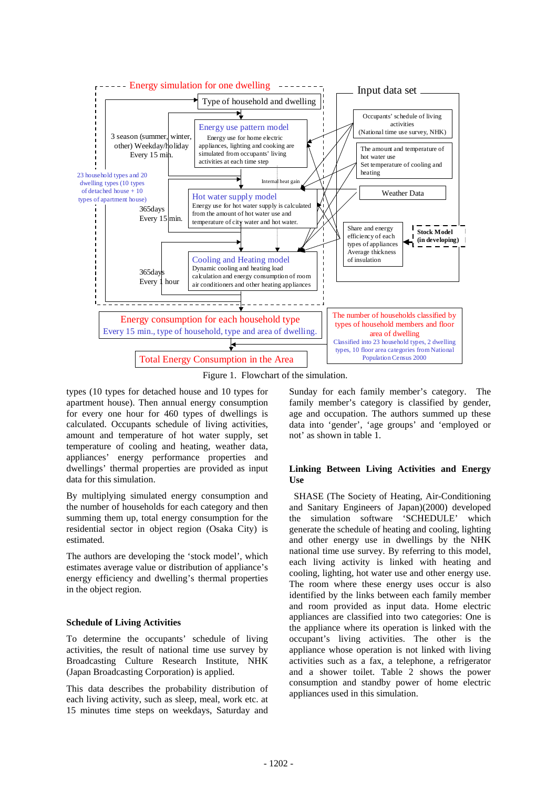

Figure 1. Flowchart of the simulation.

types (10 types for detached house and 10 types for apartment house). Then annual energy consumption for every one hour for 460 types of dwellings is calculated. Occupants schedule of living activities, amount and temperature of hot water supply, set temperature of cooling and heating, weather data, appliances' energy performance properties and dwellings' thermal properties are provided as input data for this simulation.

By multiplying simulated energy consumption and the number of households for each category and then summing them up, total energy consumption for the residential sector in object region (Osaka City) is estimated.

The authors are developing the 'stock model', which estimates average value or distribution of appliance's energy efficiency and dwelling's thermal properties in the object region.

## **Schedule of Living Activities**

To determine the occupants' schedule of living activities, the result of national time use survey by Broadcasting Culture Research Institute, NHK (Japan Broadcasting Corporation) is applied.

This data describes the probability distribution of each living activity, such as sleep, meal, work etc. at 15 minutes time steps on weekdays, Saturday and Sunday for each family member's category. The family member's category is classified by gender, age and occupation. The authors summed up these data into 'gender', 'age groups' and 'employed or not' as shown in table 1.

## **Linking Between Living Activities and Energy**   $\mathbf{H}$ se

SHASE (The Society of Heating, Air-Conditioning and Sanitary Engineers of Japan)(2000) developed the simulation software 'SCHEDULE' which generate the schedule of heating and cooling, lighting and other energy use in dwellings by the NHK national time use survey. By referring to this model, each living activity is linked with heating and cooling, lighting, hot water use and other energy use. The room where these energy uses occur is also identified by the links between each family member and room provided as input data. Home electric appliances are classified into two categories: One is the appliance where its operation is linked with the occupant's living activities. The other is the appliance whose operation is not linked with living activities such as a fax, a telephone, a refrigerator and a shower toilet. Table 2 shows the power consumption and standby power of home electric appliances used in this simulation.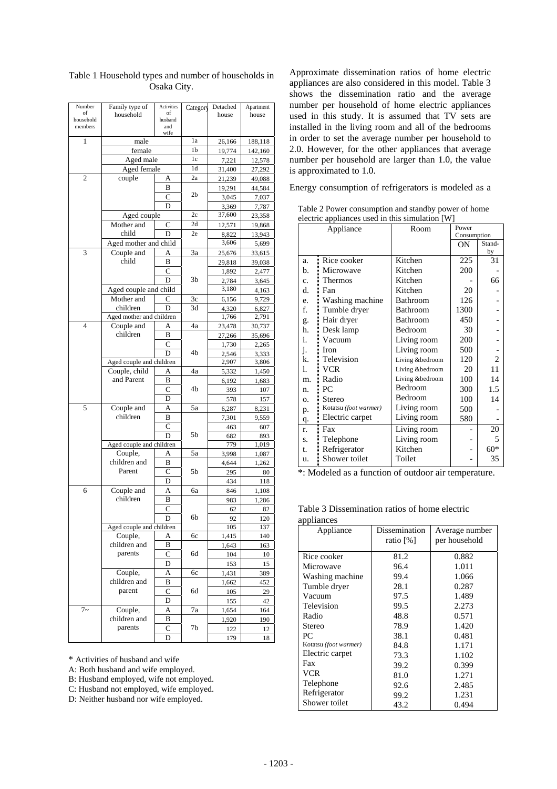| Number               | Family type of              | Activities     | Category        | Detached        | Apartment       |
|----------------------|-----------------------------|----------------|-----------------|-----------------|-----------------|
| of                   | household                   | of             |                 | house           | house           |
| household<br>members |                             | husband<br>and |                 |                 |                 |
|                      |                             | wife           |                 |                 |                 |
| 1                    | male                        |                | 1a              | 26,166          | 188,118         |
|                      | female                      |                | 1b              | 19,774          | 142,160         |
|                      | Aged male                   |                | 1c              | 7,221           | 12,578          |
|                      | Aged female                 |                | 1d<br>2a        | 31,400          | 27,292          |
| 2                    | couple                      | Α<br>B         |                 | 21,239          | 49,088          |
|                      |                             | C              | 2b              | 19,291<br>3,045 | 44,584          |
|                      |                             | D              |                 |                 | 7,037           |
|                      | Aged couple                 |                | 2c              | 3,369<br>37,600 | 7,787<br>23,358 |
|                      | Mother and                  | C              | 2d              | 12,571          | 19,868          |
|                      | child                       | D              | 2e              | 8,822           | 13,943          |
|                      | Aged mother and child       |                |                 | 3,606           | 5,699           |
| 3                    | Couple and                  | A              | $\overline{3}a$ | 25,676          | 33,615          |
|                      | child                       | B              |                 | 29,818          | 39,038          |
|                      |                             | C              |                 | 1,892           | 2,477           |
|                      |                             | D              | 3b              | 2,784           | 3,645           |
|                      | Aged couple and child       |                |                 | 3,180           | 4,163           |
|                      | Mother and                  | C              | 3c              | 6,156           | 9,729           |
|                      | children                    | D              | 3d              | 4,320           | 6,827           |
|                      | Aged mother and children    |                |                 | 1,766           | 2,791           |
| 4                    | Couple and                  | A              | 4a              | 23,478          | 30,737          |
|                      | children                    | B              |                 | 27,266          | 35,696          |
|                      |                             | C              |                 | 1,730           | 2,265           |
|                      |                             | D              | 4b              | 2,546           | 3,333           |
|                      | Aged couple and children    |                |                 | 2,907           | 3,806           |
|                      | Couple, child<br>and Parent | A              | 4a              | 5,332           | 1,450           |
|                      |                             | В<br>C         | 4b              | 6,192           | 1,683           |
|                      |                             | D              |                 | 393             | 107             |
| 5                    | Couple and                  | A              | 5a              | 578             | 157             |
|                      | children                    | B              |                 | 6,287<br>7,301  | 8,231<br>9,559  |
|                      |                             | С              |                 | 463             | 607             |
|                      |                             | D              | 5b              | 682             | 893             |
|                      | Aged couple and children    |                |                 | 779             | 1,019           |
|                      | Couple,                     | A              | 5a              | 3,998           | 1,087           |
|                      | children and                | в              |                 | 4,644           | 1,262           |
|                      | Parent                      | C              | 5b              | 295             | 80              |
|                      |                             | D              |                 | 434             | 118             |
| 6                    | Couple and                  | Α              | ба              | 846             | 1,108           |
|                      | children                    | B              |                 | 983             | 1,286           |
|                      |                             | C              |                 | 62              | 82              |
|                      |                             | D              | 6b              | 92              | 120             |
|                      | Aged couple and children    |                |                 | 105             | 137             |
|                      | Couple,                     | A              | 6с              | 1,415           | 140             |
|                      | children and                | B              |                 | 1,643           | 163             |
|                      | parents                     | C              | 6d              | 104             | 10              |
|                      |                             | D              |                 | 153             | 15              |
|                      | Couple,<br>children and     | A<br>В         | 6с              | 1,431           | 389             |
|                      | parent                      | C              | 6d              | 1,662<br>105    | 452<br>29       |
|                      |                             | D              |                 | 155             | 42              |
| $7-$                 | Couple,                     | A              | 7a              | 1,654           | 164             |
|                      | children and                | В              |                 | 1,920           | 190             |
|                      | parents                     | C              | 7b              | 122             | 12              |
|                      |                             | D              |                 | 179             | 18              |

Table 1 Household types and number of households in Osaka City.

\* Activities of husband and wife

A: Both husband and wife employed.

B: Husband employed, wife not employed.

C: Husband not employed, wife employed. D: Neither husband nor wife employed.

Approximate dissemination ratios of home electric appliances are also considered in this model. Table 3 shows the dissemination ratio and the average number per household of home electric appliances used in this study. It is assumed that TV sets are installed in the living room and all of the bedrooms in order to set the average number per household to 2.0. However, for the other appliances that average number per household are larger than 1.0, the value is approximated to 1.0.

Energy consumption of refrigerators is modeled as a

Table 2 Power consumption and standby power of home electric appliances used in this simulation [W]

| Appliance  |                       | Room            | Power       |        |
|------------|-----------------------|-----------------|-------------|--------|
|            |                       |                 | Consumption |        |
|            |                       |                 | ON          | Stand- |
|            |                       |                 |             | by     |
| a.         | Rice cooker           | Kitchen         | 225         | 31     |
| b.         | Microwave             | Kitchen         | 200         |        |
| c.         | Thermos               | Kitchen         |             | 66     |
| d.         | Fan                   | Kitchen         | 20          |        |
| e.         | Washing machine       | Bathroom        | 126         |        |
| f.         | Tumble dryer          | Bathroom        | 1300        |        |
| g.         | Hair dryer            | Bathroom        | 450         |        |
| h.         | Desk lamp             | Bedroom         | 30          |        |
| i.         | Vacuum                | Living room     | 200         |        |
| j.         | <b>Iron</b>           | Living room     | 500         |        |
| k.         | Television            | Living &bedroom | 120         | 2      |
| 1.         | <b>VCR</b>            | Living &bedroom | 20          | 11     |
| m.         | Radio                 | Living &bedroom | 100         | 14     |
| n.         | PC.                   | Bedroom         | 300         | 1.5    |
| $\Omega$ . | Stereo                | Bedroom         | 100         | 14     |
| p.         | Kotatsu (foot warmer) | Living room     | 500         |        |
| q.         | Electric carpet       | Living room     | 580         |        |
| r.         | Fax                   | Living room     |             | 20     |
| S.         | Telephone             | Living room     |             | 5      |
| t.         | Refrigerator          | Kitchen         |             | $60*$  |
| u.         | Shower toilet         | Toilet          |             | 35     |

\*: Modeled as a function of outdoor air temperature. 5b

Table 3 Dissemination ratios of home electric appliances

| apphances             |               |                |
|-----------------------|---------------|----------------|
| Appliance             | Dissemination | Average number |
|                       | ratio [%]     | per household  |
|                       |               |                |
| Rice cooker           | 81.2          | 0.882          |
| Microwave             | 96.4          | 1.011          |
| Washing machine.      | 99.4          | 1.066          |
| Tumble dryer          | 28.1          | 0.287          |
| Vacuum                | 97.5          | 1.489          |
| Television            | 99.5          | 2.273          |
| Radio                 | 48.8          | 0.571          |
| Stereo                | 78.9          | 1.420          |
| PС                    | 38.1          | 0.481          |
| Kotatsu (foot warmer) | 84.8          | 1.171          |
| Electric carpet       | 73.3          | 1.102          |
| Fax                   | 39.2          | 0.399          |
| <b>VCR</b>            | 81.0          | 1.271          |
| Telephone             | 92.6          | 2.485          |
| Refrigerator          | 99.2          | 1.231          |
| Shower toilet         | 43.2          | 0.494          |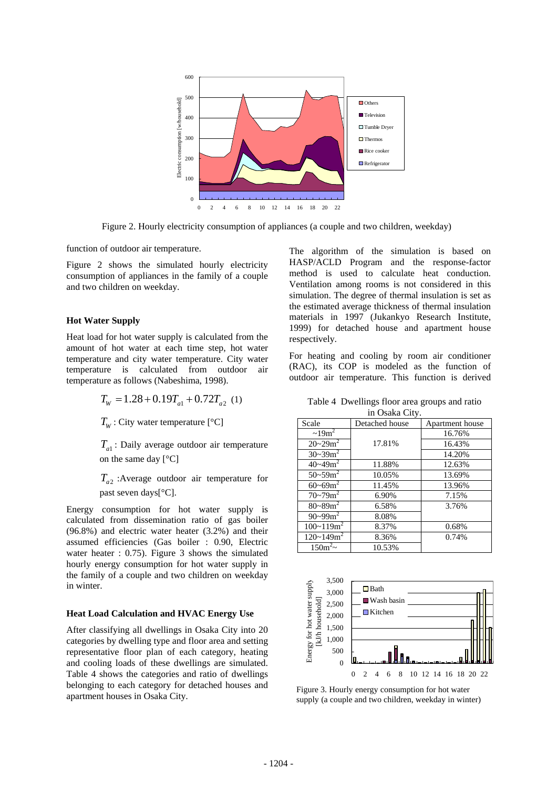

Figure 2. Hourly electricity consumption of appliances (a couple and two children, weekday)

Figure 2 shows the simulated hourly electricity consumption of appliances in the family of a couple and two children on weekday.

#### **Hot Water Supply**

Heat load for hot water supply is calculated from the amount of hot water at each time step, hot water temperature and city water temperature. City water temperature is calculated from outdoor air temperature as follows (Nabeshima, 1998).

$$
T_{W} = 1.28 + 0.19T_{a1} + 0.72T_{a2} \ (1)
$$

 $T_w$ : City water temperature [ $°C$ ]

*Ta*<sup>1</sup> : Daily average outdoor air temperature on the same day [°C]

*Ta*<sup>2</sup> :Average outdoor air temperature for past seven days[°C].

Energy consumption for hot water supply is calculated from dissemination ratio of gas boiler (96.8%) and electric water heater (3.2%) and their assumed efficiencies (Gas boiler : 0.90, Electric water heater : 0.75). Figure 3 shows the simulated hourly energy consumption for hot water supply in the family of a couple and two children on weekday in winter.

### **Heat Load Calculation and HVAC Energy Use**

After classifying all dwellings in Osaka City into 20 categories by dwelling type and floor area and setting representative floor plan of each category, heating and cooling loads of these dwellings are simulated. Table 4 shows the categories and ratio of dwellings belonging to each category for detached houses and apartment houses in Osaka City.

function of outdoor air temperature. The algorithm of the simulation is based on HASP/ACLD Program and the response-factor method is used to calculate heat conduction. Ventilation among rooms is not considered in this simulation. The degree of thermal insulation is set as the estimated average thickness of thermal insulation materials in 1997 (Jukankyo Research Institute, 1999) for detached house and apartment house respectively.

> For heating and cooling by room air conditioner (RAC), its COP is modeled as the function of outdoor air temperature. This function is derived

Table 4 Dwellings floor area groups and ratio in Osaka City.

| in Usaka City.                   |                |                 |  |  |  |
|----------------------------------|----------------|-----------------|--|--|--|
| Scale                            | Detached house | Apartment house |  |  |  |
| $\sim 19$ m <sup>2</sup>         |                | 16.76%          |  |  |  |
| $20 - 29m^2$                     | 17.81%         | 16.43%          |  |  |  |
| $30 - 39m^2$                     |                | 14.20%          |  |  |  |
| $\frac{1}{40}$ ~49m <sup>2</sup> | 11.88%         | 12.63%          |  |  |  |
| $50 - 59m^2$                     | 10.05%         | 13.69%          |  |  |  |
| $60 - 69m^2$                     | 11.45%         | 13.96%          |  |  |  |
| $70 - 79m^2$                     | 6.90%          | 7.15%           |  |  |  |
| $80 - 89m^2$                     | 6.58%          | 3.76%           |  |  |  |
| $90 - 99m^2$                     | 8.08%          |                 |  |  |  |
| $100 - 119m^2$                   | 8.37%          | 0.68%           |  |  |  |
| $120 - 149$ m <sup>2</sup>       | 8.36%          | 0.74%           |  |  |  |
| $150m^2$ ~                       | 10.53%         |                 |  |  |  |



Figure 3. Hourly energy consumption for hot water supply (a couple and two children, weekday in winter)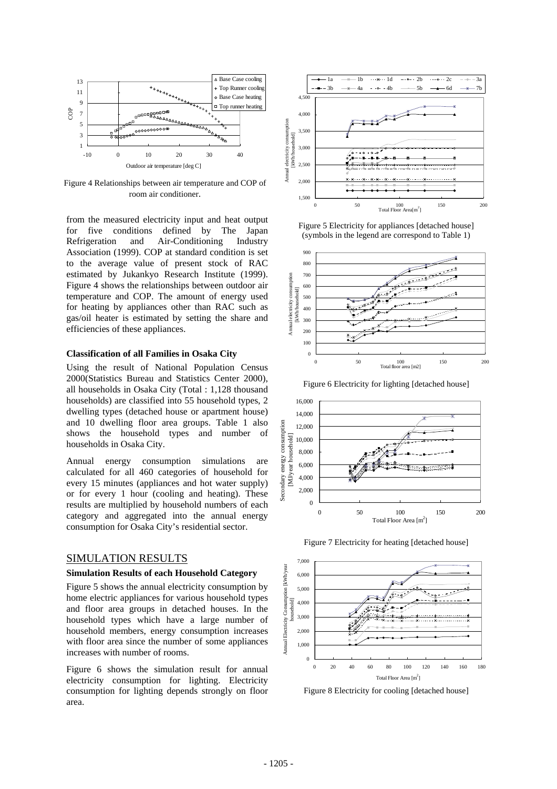

Figure 4 Relationships between air temperature and COP of room air conditioner.

from the measured electricity input and heat output for five conditions defined by The Japan Refrigeration and Air-Conditioning Industry Association (1999). COP at standard condition is set to the average value of present stock of RAC estimated by Jukankyo Research Institute (1999). Figure 4 shows the relationships between outdoor air temperature and COP. The amount of energy used for heating by appliances other than RAC such as gas/oil heater is estimated by setting the share and efficiencies of these appliances.

#### **Classification of all Families in Osaka City**

Using the result of National Population Census 2000(Statistics Bureau and Statistics Center 2000), all households in Osaka City (Total : 1,128 thousand households) are classified into 55 household types, 2 dwelling types (detached house or apartment house) and 10 dwelling floor area groups. Table 1 also shows the household types and number of households in Osaka City.

Annual energy consumption simulations are calculated for all 460 categories of household for every 15 minutes (appliances and hot water supply) or for every 1 hour (cooling and heating). These results are multiplied by household numbers of each category and aggregated into the annual energy consumption for Osaka City's residential sector.

## SIMULATION RESULTS

#### **Simulation Results of each Household Category**

Figure 5 shows the annual electricity consumption by home electric appliances for various household types and floor area groups in detached houses. In the household types which have a large number of household members, energy consumption increases with floor area since the number of some appliances increases with number of rooms.

Figure 6 shows the simulation result for annual electricity consumption for lighting. Electricity consumption for lighting depends strongly on floor area.



Figure 5 Electricity for appliances [detached house] (symbols in the legend are correspond to Table 1)



Figure 6 Electricity for lighting [detached house]



Figure 7 Electricity for heating [detached house]



Figure 8 Electricity for cooling [detached house]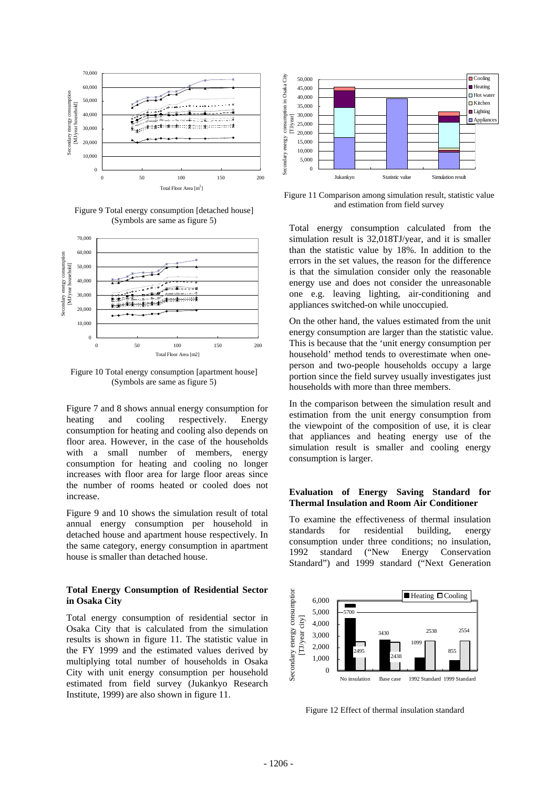

Figure 9 Total energy consumption [detached house] (Symbols are same as figure 5)



Figure 10 Total energy consumption [apartment house] (Symbols are same as figure 5)

Figure 7 and 8 shows annual energy consumption for heating and cooling respectively. Energy consumption for heating and cooling also depends on floor area. However, in the case of the households with a small number of members, energy consumption for heating and cooling no longer increases with floor area for large floor areas since the number of rooms heated or cooled does not increase.

Figure 9 and 10 shows the simulation result of total annual energy consumption per household in detached house and apartment house respectively. In the same category, energy consumption in apartment house is smaller than detached house.

## **Total Energy Consumption of Residential Sector in Osaka City**

Total energy consumption of residential sector in Osaka City that is calculated from the simulation results is shown in figure 11. The statistic value in the FY 1999 and the estimated values derived by multiplying total number of households in Osaka City with unit energy consumption per household estimated from field survey (Jukankyo Research Institute, 1999) are also shown in figure 11.



Figure 11 Comparison among simulation result, statistic value and estimation from field survey

Total energy consumption calculated from the simulation result is 32,018TJ/year, and it is smaller than the statistic value by 18%. In addition to the errors in the set values, the reason for the difference is that the simulation consider only the reasonable energy use and does not consider the unreasonable one e.g. leaving lighting, air-conditioning and appliances switched-on while unoccupied.

On the other hand, the values estimated from the unit energy consumption are larger than the statistic value. This is because that the 'unit energy consumption per household' method tends to overestimate when oneperson and two-people households occupy a large portion since the field survey usually investigates just households with more than three members.

In the comparison between the simulation result and estimation from the unit energy consumption from the viewpoint of the composition of use, it is clear that appliances and heating energy use of the simulation result is smaller and cooling energy consumption is larger.

#### **Evaluation of Energy Saving Standard for Thermal Insulation and Room Air Conditioner**

To examine the effectiveness of thermal insulation standards for residential building, energy consumption under three conditions; no insulation, 1992 standard ("New Energy Conservation Standard") and 1999 standard ("Next Generation



Figure 12 Effect of thermal insulation standard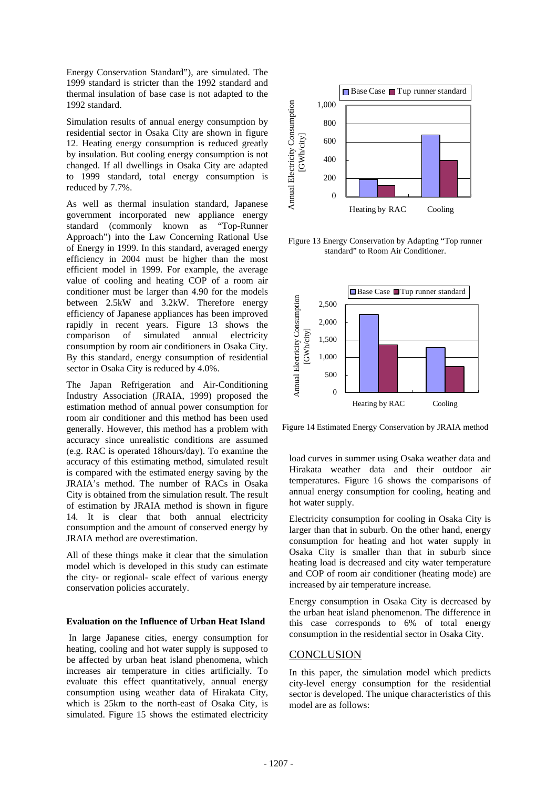Energy Conservation Standard"), are simulated. The 1999 standard is stricter than the 1992 standard and thermal insulation of base case is not adapted to the 1992 standard.

Simulation results of annual energy consumption by residential sector in Osaka City are shown in figure 12. Heating energy consumption is reduced greatly by insulation. But cooling energy consumption is not changed. If all dwellings in Osaka City are adapted to 1999 standard, total energy consumption is reduced by 7.7%.

As well as thermal insulation standard, Japanese government incorporated new appliance energy standard (commonly known as "Top-Runner Approach") into the Law Concerning Rational Use of Energy in 1999. In this standard, averaged energy efficiency in 2004 must be higher than the most efficient model in 1999. For example, the average value of cooling and heating COP of a room air conditioner must be larger than 4.90 for the models between 2.5kW and 3.2kW. Therefore energy efficiency of Japanese appliances has been improved rapidly in recent years. Figure 13 shows the comparison of simulated annual electricity consumption by room air conditioners in Osaka City. By this standard, energy consumption of residential sector in Osaka City is reduced by 4.0%.

The Japan Refrigeration and Air-Conditioning Industry Association (JRAIA, 1999) proposed the estimation method of annual power consumption for room air conditioner and this method has been used generally. However, this method has a problem with accuracy since unrealistic conditions are assumed (e.g. RAC is operated 18hours/day). To examine the accuracy of this estimating method, simulated result is compared with the estimated energy saving by the JRAIA's method. The number of RACs in Osaka City is obtained from the simulation result. The result of estimation by JRAIA method is shown in figure 14. It is clear that both annual electricity consumption and the amount of conserved energy by JRAIA method are overestimation.

All of these things make it clear that the simulation model which is developed in this study can estimate the city- or regional- scale effect of various energy conservation policies accurately.

#### **Evaluation on the Influence of Urban Heat Island**

In large Japanese cities, energy consumption for heating, cooling and hot water supply is supposed to be affected by urban heat island phenomena, which increases air temperature in cities artificially. To evaluate this effect quantitatively, annual energy consumption using weather data of Hirakata City, which is 25km to the north-east of Osaka City, is simulated. Figure 15 shows the estimated electricity



Figure 13 Energy Conservation by Adapting "Top runner standard" to Room Air Conditioner.



Figure 14 Estimated Energy Conservation by JRAIA method

load curves in summer using Osaka weather data and Hirakata weather data and their outdoor air temperatures. Figure 16 shows the comparisons of annual energy consumption for cooling, heating and hot water supply.

Electricity consumption for cooling in Osaka City is larger than that in suburb. On the other hand, energy consumption for heating and hot water supply in Osaka City is smaller than that in suburb since heating load is decreased and city water temperature and COP of room air conditioner (heating mode) are increased by air temperature increase.

Energy consumption in Osaka City is decreased by the urban heat island phenomenon. The difference in this case corresponds to 6% of total energy consumption in the residential sector in Osaka City.

## **CONCLUSION**

In this paper, the simulation model which predicts city-level energy consumption for the residential sector is developed. The unique characteristics of this model are as follows: